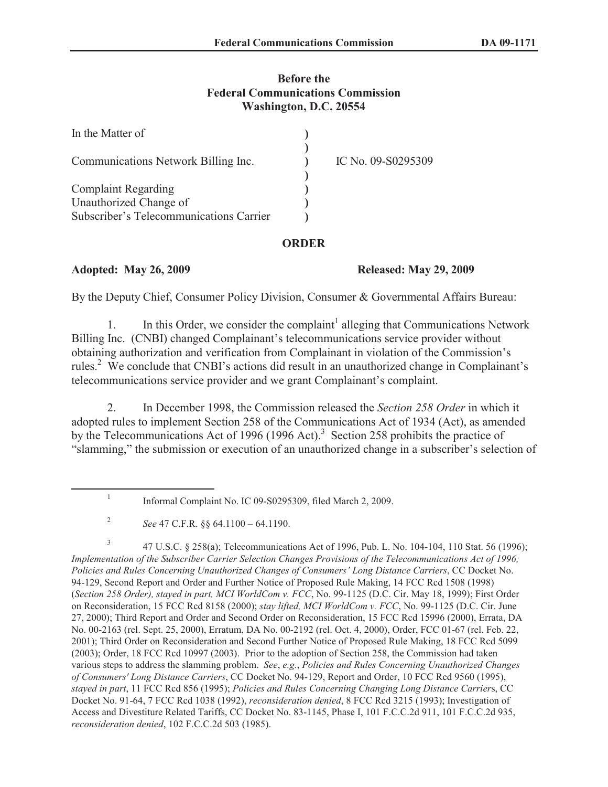## **Before the Federal Communications Commission Washington, D.C. 20554**

| In the Matter of                        |                    |
|-----------------------------------------|--------------------|
| Communications Network Billing Inc.     | IC No. 09-S0295309 |
| <b>Complaint Regarding</b>              |                    |
| Unauthorized Change of                  |                    |
| Subscriber's Telecommunications Carrier |                    |

### **ORDER**

### **Adopted: May 26, 2009 Released: May 29, 2009**

By the Deputy Chief, Consumer Policy Division, Consumer & Governmental Affairs Bureau:

1. In this Order, we consider the complaint<sup>1</sup> alleging that Communications Network Billing Inc. (CNBI) changed Complainant's telecommunications service provider without obtaining authorization and verification from Complainant in violation of the Commission's rules.<sup>2</sup> We conclude that CNBI's actions did result in an unauthorized change in Complainant's telecommunications service provider and we grant Complainant's complaint.

2. In December 1998, the Commission released the *Section 258 Order* in which it adopted rules to implement Section 258 of the Communications Act of 1934 (Act), as amended by the Telecommunications Act of 1996 (1996 Act).<sup>3</sup> Section 258 prohibits the practice of "slamming," the submission or execution of an unauthorized change in a subscriber's selection of

3 47 U.S.C. § 258(a); Telecommunications Act of 1996, Pub. L. No. 104-104, 110 Stat. 56 (1996); *Implementation of the Subscriber Carrier Selection Changes Provisions of the Telecommunications Act of 1996; Policies and Rules Concerning Unauthorized Changes of Consumers' Long Distance Carriers*, CC Docket No. 94-129, Second Report and Order and Further Notice of Proposed Rule Making, 14 FCC Rcd 1508 (1998) (*Section 258 Order), stayed in part, MCI WorldCom v. FCC*, No. 99-1125 (D.C. Cir. May 18, 1999); First Order on Reconsideration, 15 FCC Rcd 8158 (2000); *stay lifted, MCI WorldCom v. FCC*, No. 99-1125 (D.C. Cir. June 27, 2000); Third Report and Order and Second Order on Reconsideration, 15 FCC Rcd 15996 (2000), Errata, DA No. 00-2163 (rel. Sept. 25, 2000), Erratum, DA No. 00-2192 (rel. Oct. 4, 2000), Order, FCC 01-67 (rel. Feb. 22, 2001); Third Order on Reconsideration and Second Further Notice of Proposed Rule Making, 18 FCC Rcd 5099 (2003); Order, 18 FCC Rcd 10997 (2003). Prior to the adoption of Section 258, the Commission had taken various steps to address the slamming problem. *See*, *e.g.*, *Policies and Rules Concerning Unauthorized Changes of Consumers' Long Distance Carriers*, CC Docket No. 94-129, Report and Order, 10 FCC Rcd 9560 (1995), *stayed in part*, 11 FCC Rcd 856 (1995); *Policies and Rules Concerning Changing Long Distance Carrier*s, CC Docket No. 91-64, 7 FCC Rcd 1038 (1992), *reconsideration denied*, 8 FCC Rcd 3215 (1993); Investigation of Access and Divestiture Related Tariffs, CC Docket No. 83-1145, Phase I, 101 F.C.C.2d 911, 101 F.C.C.2d 935, *reconsideration denied*, 102 F.C.C.2d 503 (1985).

<sup>1</sup> Informal Complaint No. IC 09-S0295309, filed March 2, 2009.

<sup>2</sup> *See* 47 C.F.R. §§ 64.1100 – 64.1190.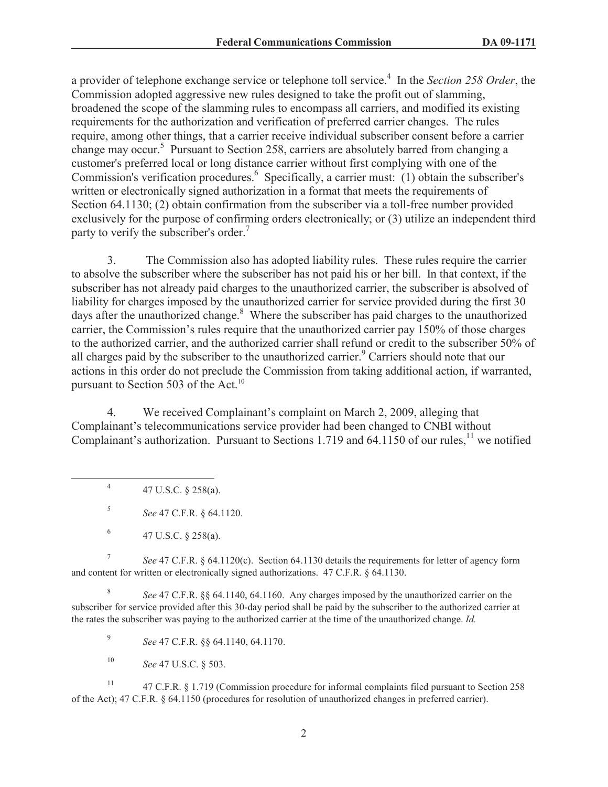a provider of telephone exchange service or telephone toll service.<sup>4</sup> In the *Section 258 Order*, the Commission adopted aggressive new rules designed to take the profit out of slamming, broadened the scope of the slamming rules to encompass all carriers, and modified its existing requirements for the authorization and verification of preferred carrier changes. The rules require, among other things, that a carrier receive individual subscriber consent before a carrier change may occur.<sup>5</sup> Pursuant to Section 258, carriers are absolutely barred from changing a customer's preferred local or long distance carrier without first complying with one of the Commission's verification procedures.<sup>6</sup> Specifically, a carrier must: (1) obtain the subscriber's written or electronically signed authorization in a format that meets the requirements of Section 64.1130; (2) obtain confirmation from the subscriber via a toll-free number provided exclusively for the purpose of confirming orders electronically; or (3) utilize an independent third party to verify the subscriber's order.<sup>7</sup>

3. The Commission also has adopted liability rules. These rules require the carrier to absolve the subscriber where the subscriber has not paid his or her bill. In that context, if the subscriber has not already paid charges to the unauthorized carrier, the subscriber is absolved of liability for charges imposed by the unauthorized carrier for service provided during the first 30 days after the unauthorized change.<sup>8</sup> Where the subscriber has paid charges to the unauthorized carrier, the Commission's rules require that the unauthorized carrier pay 150% of those charges to the authorized carrier, and the authorized carrier shall refund or credit to the subscriber 50% of all charges paid by the subscriber to the unauthorized carrier.<sup>9</sup> Carriers should note that our actions in this order do not preclude the Commission from taking additional action, if warranted, pursuant to Section 503 of the Act. $^{10}$ 

4. We received Complainant's complaint on March 2, 2009, alleging that Complainant's telecommunications service provider had been changed to CNBI without Complainant's authorization. Pursuant to Sections 1.719 and  $64.1150$  of our rules,<sup>11</sup> we notified

4 47 U.S.C. § 258(a).

5 *See* 47 C.F.R. § 64.1120.

7 *See* 47 C.F.R. § 64.1120(c). Section 64.1130 details the requirements for letter of agency form and content for written or electronically signed authorizations. 47 C.F.R. § 64.1130.

8 *See* 47 C.F.R. §§ 64.1140, 64.1160. Any charges imposed by the unauthorized carrier on the subscriber for service provided after this 30-day period shall be paid by the subscriber to the authorized carrier at the rates the subscriber was paying to the authorized carrier at the time of the unauthorized change. *Id.*

9 *See* 47 C.F.R. §§ 64.1140, 64.1170.

<sup>10</sup> *See* 47 U.S.C. § 503.

<sup>11</sup> 47 C.F.R. § 1.719 (Commission procedure for informal complaints filed pursuant to Section 258 of the Act); 47 C.F.R. § 64.1150 (procedures for resolution of unauthorized changes in preferred carrier).

<sup>6</sup> 47 U.S.C. § 258(a).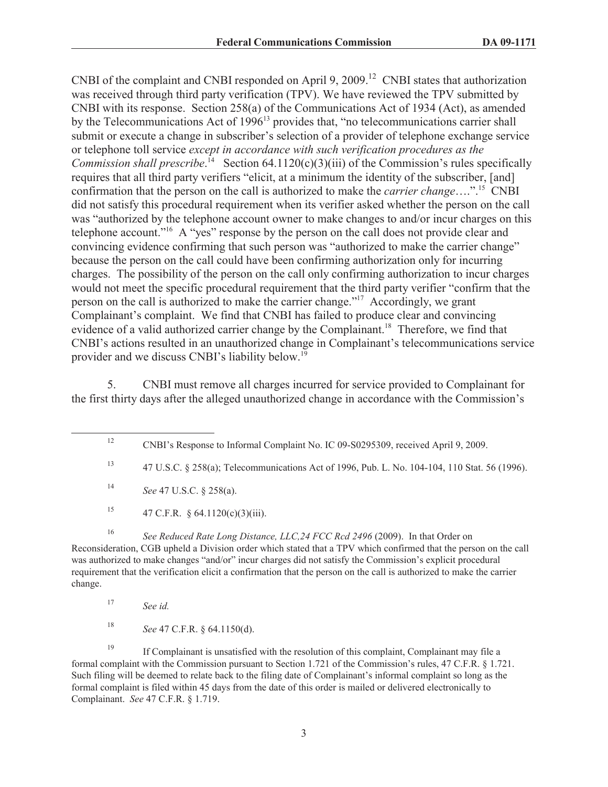CNBI of the complaint and CNBI responded on April 9, 2009.<sup>12</sup> CNBI states that authorization was received through third party verification (TPV). We have reviewed the TPV submitted by CNBI with its response. Section 258(a) of the Communications Act of 1934 (Act), as amended by the Telecommunications Act of  $1996<sup>13</sup>$  provides that, "no telecommunications carrier shall submit or execute a change in subscriber's selection of a provider of telephone exchange service or telephone toll service *except in accordance with such verification procedures as the Commission shall prescribe*.<sup>14</sup> Section 64.1120(c)(3)(iii) of the Commission's rules specifically requires that all third party verifiers "elicit, at a minimum the identity of the subscriber, [and] confirmation that the person on the call is authorized to make the *carrier change*….".<sup>15</sup> CNBI did not satisfy this procedural requirement when its verifier asked whether the person on the call was "authorized by the telephone account owner to make changes to and/or incur charges on this telephone account."<sup>16</sup> A "yes" response by the person on the call does not provide clear and convincing evidence confirming that such person was "authorized to make the carrier change" because the person on the call could have been confirming authorization only for incurring charges. The possibility of the person on the call only confirming authorization to incur charges would not meet the specific procedural requirement that the third party verifier "confirm that the person on the call is authorized to make the carrier change."<sup>17</sup> Accordingly, we grant Complainant's complaint. We find that CNBI has failed to produce clear and convincing evidence of a valid authorized carrier change by the Complainant.<sup>18</sup> Therefore, we find that CNBI's actions resulted in an unauthorized change in Complainant's telecommunications service provider and we discuss CNBI's liability below.<sup>19</sup>

5. CNBI must remove all charges incurred for service provided to Complainant for the first thirty days after the alleged unauthorized change in accordance with the Commission's

<sup>15</sup> 47 C.F.R. § 64.1120(c)(3)(iii).

<sup>16</sup> See Reduced Rate Long Distance, LLC, 24 FCC Rcd 2496 (2009). In that Order on Reconsideration, CGB upheld a Division order which stated that a TPV which confirmed that the person on the call was authorized to make changes "and/or" incur charges did not satisfy the Commission's explicit procedural requirement that the verification elicit a confirmation that the person on the call is authorized to make the carrier change.

<sup>18</sup> *See* 47 C.F.R. § 64.1150(d).

<sup>19</sup> If Complainant is unsatisfied with the resolution of this complaint, Complainant may file a formal complaint with the Commission pursuant to Section 1.721 of the Commission's rules, 47 C.F.R. § 1.721. Such filing will be deemed to relate back to the filing date of Complainant's informal complaint so long as the formal complaint is filed within 45 days from the date of this order is mailed or delivered electronically to Complainant. *See* 47 C.F.R. § 1.719.

<sup>12</sup> CNBI's Response to Informal Complaint No. IC 09-S0295309, received April 9, 2009.

<sup>13</sup> 47 U.S.C. § 258(a); Telecommunications Act of 1996, Pub. L. No. 104-104, 110 Stat. 56 (1996).

<sup>14</sup> *See* 47 U.S.C. § 258(a).

<sup>17</sup> *See id.*